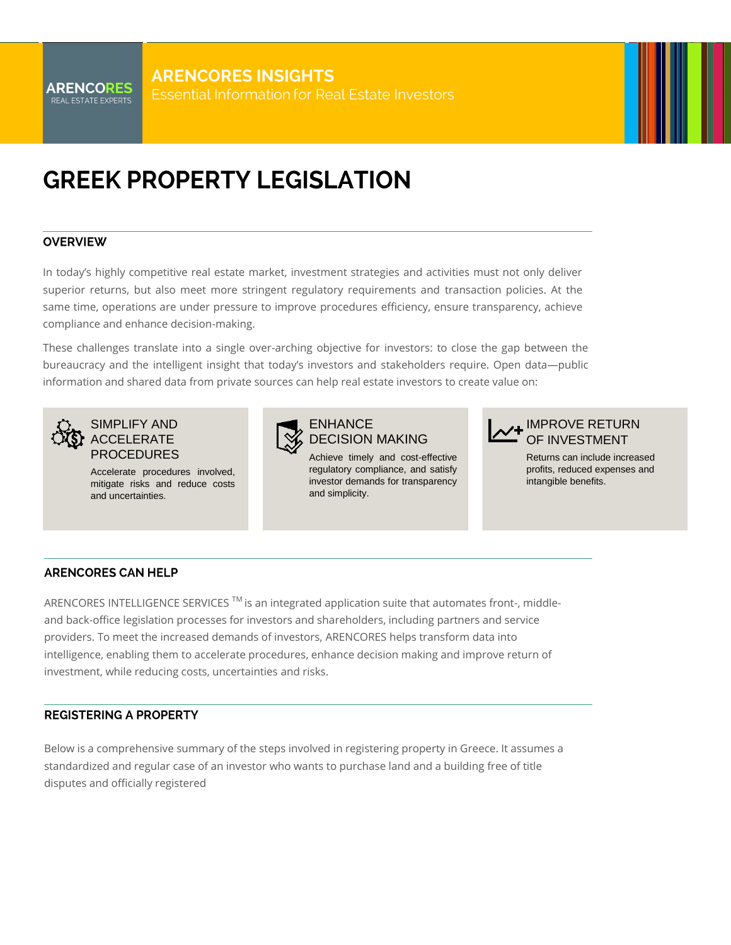# **GREEK PROPERTY LEGISLATION**

#### **OVERVIEW**

In today's highly competitive real estate market, investment strategies and activities must not only deliver superior returns, but also meet more stringent regulatory requirements and transaction policies. At the same time, operations are under pressure to improve procedures efficiency, ensure transparency, achieve compliance and enhance decision-making.

These challenges translate into a single over-arching objective for investors: to close the gap between the bureaucracy and the intelligent insight that today's investors and stakeholders require. Open data—public information and shared data from private sources can help real estate investors to create value on:



## SIMPLIFY AND ACCELERATE PROCEDURES

Accelerate procedures involved, mitigate risks and reduce costs and uncertainties.



## ENHANCE DECISION MAKING

Achieve timely and cost-effective regulatory compliance, and satisfy investor demands for transparency and simplicity.



Returns can include increased profits, reduced expenses and intangible benefits.

### **ARENCORES CAN HELP**

ARENCORES INTELLIGENCE SERVICES ™ is an integrated application suite that automates front-, middleand back-office legislation processes for investors and shareholders, including partners and service providers. To meet the increased demands of investors, ARENCORES helps transform data into intelligence, enabling them to accelerate procedures, enhance decision making and improve return of investment, while reducing costs, uncertainties and risks.

### **REGISTERING A PROPERTY**

Below is a comprehensive summary of the steps involved in registering property in Greece. It assumes a standardized and regular case of an investor who wants to purchase land and a building free of title disputes and officially registered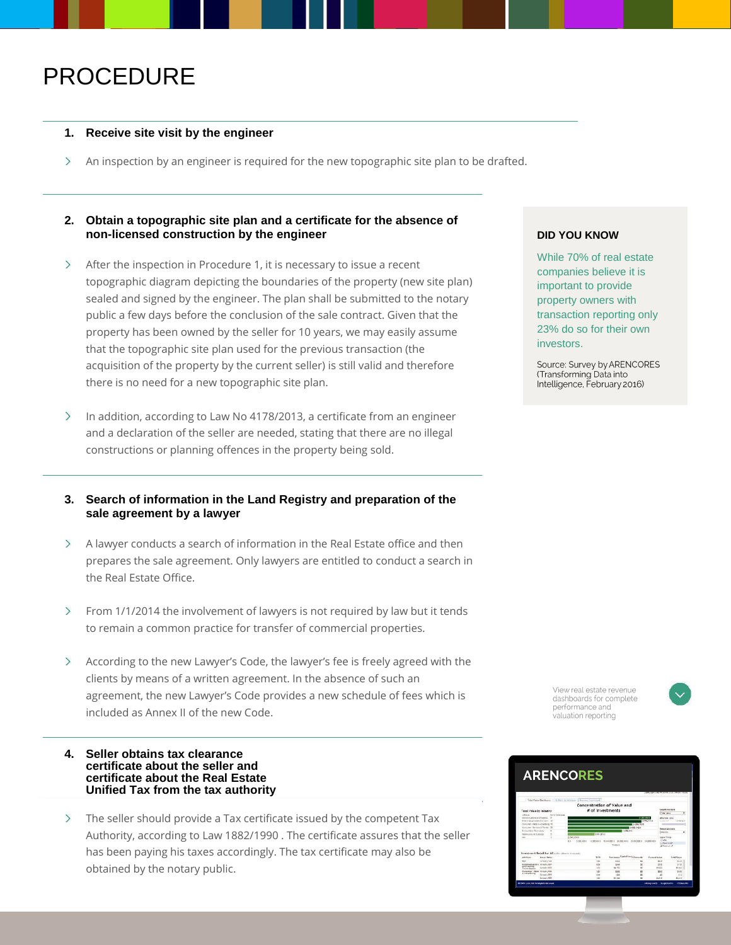## PROCEDURE

#### **1. Receive site visit by the engineer**

 $\rightarrow$ An inspection by an engineer is required for the new topographic site plan to be drafted.

### **2. Obtain a topographic site plan and a certificate for the absence of non-licensed construction by the engineer**

- After the inspection in Procedure 1, it is necessary to issue a recent  $\left\langle \right\rangle$ topographic diagram depicting the boundaries of the property (new site plan) sealed and signed by the engineer. The plan shall be submitted to the notary public a few days before the conclusion of the sale contract. Given that the property has been owned by the seller for 10 years, we may easily assume that the topographic site plan used for the previous transaction (the acquisition of the property by the current seller) is still valid and therefore there is no need for a new topographic site plan.
- $\mathcal{E}$ In addition, according to Law No 4178/2013, a certificate from an engineer and a declaration of the seller are needed, stating that there are no illegal constructions or planning offences in the property being sold.
- **3. Search of information in the Land Registry and preparation of the sale agreement by a lawyer**
- A lawyer conducts a search of information in the Real Estate office and then  $\geq$ prepares the sale agreement. Only lawyers are entitled to conduct a search in the Real Estate Office.
- $\mathcal{E}$ From 1/1/2014 the involvement of lawyers is not required by law but it tends to remain a common practice for transfer of commercial properties.
- $\left\langle \right\rangle$ According to the new Lawyer's Code, the lawyer's fee is freely agreed with the clients by means of a written agreement. In the absence of such an agreement, the new Lawyer's Code provides a new schedule of fees which is included as Annex II of the new Code.

#### **4. Seller obtains tax clearance certificate about the seller and certificate about the Real Estate Unified Tax from the tax authority**

 $\geq$ The seller should provide a Tax certificate issued by the competent Tax Authority, according to Law 1882/1990 . The certificate assures that the seller has been paying his taxes accordingly. The tax certificate may also be obtained by the notary public.

#### **DID YOU KNOW**

While 70% of real estate companies believe it is important to provide property owners with transaction reporting only 23% do so for their own investors.

Source: Survey by ARENCORES (Transforming Data into Intelligence, February 2016)

> View real estate revenue dashboards for complete performance and valuation reporting



# **ARENCORES**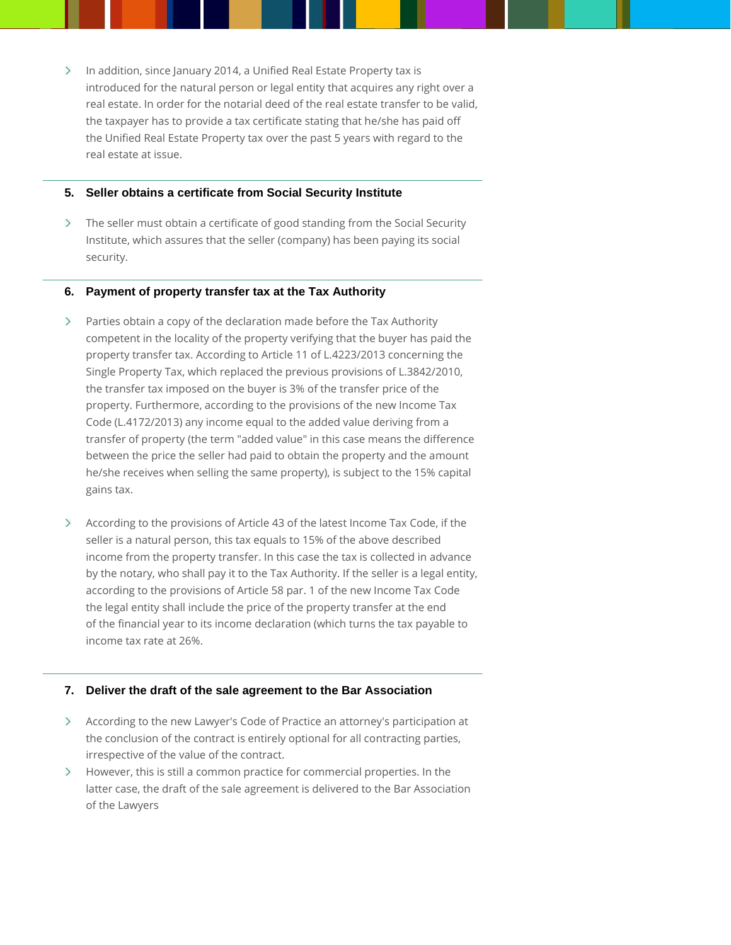$\sum$  In addition, since January 2014, a Unified Real Estate Property tax is introduced for the natural person or legal entity that acquires any right over a real estate. In order for the notarial deed of the real estate transfer to be valid, the taxpayer has to provide a tax certificate stating that he/she has paid off the Unified Real Estate Property tax over the past 5 years with regard to the real estate at issue.

#### **5. Seller obtains a certificate from Social Security Institute**

The seller must obtain a certificate of good standing from the Social Security Institute, which assures that the seller (company) has been paying its social security.

#### **6. Payment of property transfer tax at the Tax Authority**

- $\sum$ Parties obtain a copy of the declaration made before the Tax Authority competent in the locality of the property verifying that the buyer has paid the property transfer tax. According to Article 11 of L.4223/2013 concerning the Single Property Tax, which replaced the previous provisions of L.3842/2010, the transfer tax imposed on the buyer is 3% of the transfer price of the property. Furthermore, according to the provisions of the new Income Tax Code (L.4172/2013) any income equal to the added value deriving from a transfer of property (the term "added value" in this case means the difference between the price the seller had paid to obtain the property and the amount he/she receives when selling the same property), is subject to the 15% capital gains tax.
- $\geq$ According to the provisions of Article 43 of the latest Income Tax Code, if the seller is a natural person, this tax equals to 15% of the above described income from the property transfer. In this case the tax is collected in advance by the notary, who shall pay it to the Tax Authority. If the seller is a legal entity, according to the provisions of Article 58 par. 1 of the new Income Tax Code the legal entity shall include the price of the property transfer at the end of the financial year to its income declaration (which turns the tax payable to income tax rate at 26%.

#### **7. Deliver the draft of the sale agreement to the Bar Association**

- According to the new Lawyer's Code of Practice an attorney's participation at the conclusion of the contract is entirely optional for all contracting parties, irrespective of the value of the contract.
- $\geq$ However, this is still a common practice for commercial properties. In the latter case, the draft of the sale agreement is delivered to the Bar Association of the Lawyers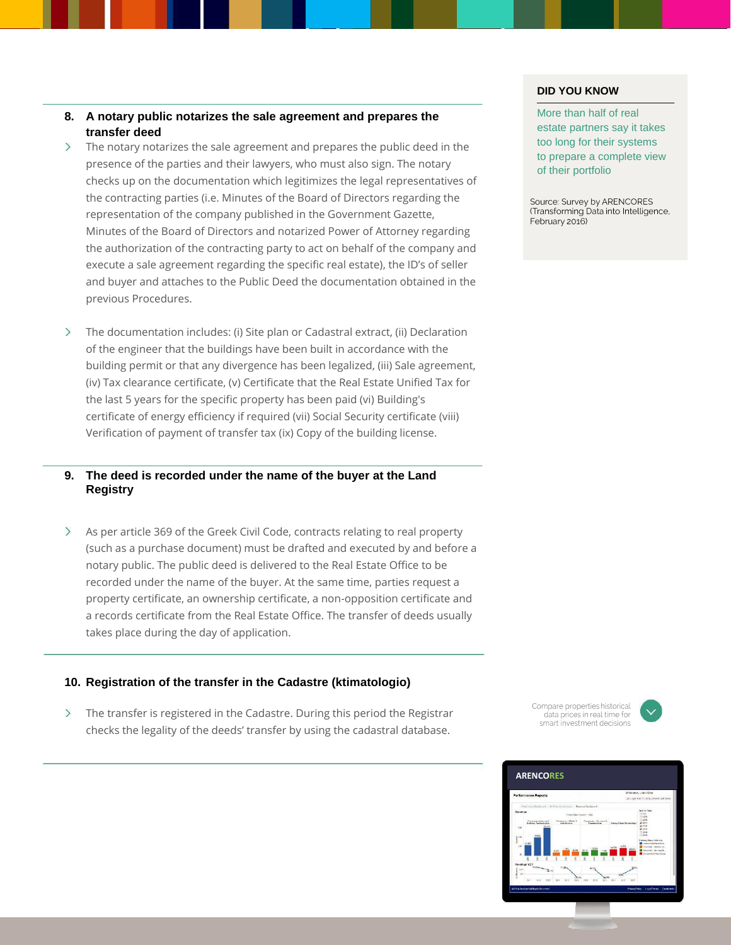#### **8. A notary public notarizes the sale agreement and prepares the transfer deed**

- $\sum$ The notary notarizes the sale agreement and prepares the public deed in the presence of the parties and their lawyers, who must also sign. The notary checks up on the documentation which legitimizes the legal representatives of the contracting parties (i.e. Minutes of the Board of Directors regarding the representation of the company published in the Government Gazette, Minutes of the Board of Directors and notarized Power of Attorney regarding the authorization of the contracting party to act on behalf of the company and execute a sale agreement regarding the specific real estate), the ID's of seller and buyer and attaches to the Public Deed the documentation obtained in the previous Procedures.
- $\rightarrow$ The documentation includes: (i) Site plan or Cadastral extract, (ii) Declaration of the engineer that the buildings have been built in accordance with the building permit or that any divergence has been legalized, (iii) Sale agreement, (iv) Tax clearance certificate, (v) Certificate that the Real Estate Unified Tax for the last 5 years for the specific property has been paid (vi) Building's certificate of energy efficiency if required (vii) Social Security certificate (viii) Verification of payment of transfer tax (ix) Copy of the building license.

#### **9. The deed is recorded under the name of the buyer at the Land Registry**

As per article 369 of the Greek Civil Code, contracts relating to real property  $\left\langle \right\rangle$ (such as a purchase document) must be drafted and executed by and before a notary public. The public deed is delivered to the Real Estate Office to be recorded under the name of the buyer. At the same time, parties request a property certificate, an ownership certificate, a non-opposition certificate and a records certificate from the Real Estate Office. The transfer of deeds usually takes place during the day of application.

#### **10. Registration of the transfer in the Cadastre (ktimatologio)**

 $\left\langle \right\rangle$ The transfer is registered in the Cadastre. During this period the Registrar checks the legality of the deeds' transfer by using the cadastral database.

#### **DID YOU KNOW**

More than half of real estate partners say it takes too long for their systems to prepare a complete view of their portfolio

Source: Survey by ARENCORES (Transforming Data into Intelligence, February 2016)

Compare properties historical data prices in real time for smart investment decisions